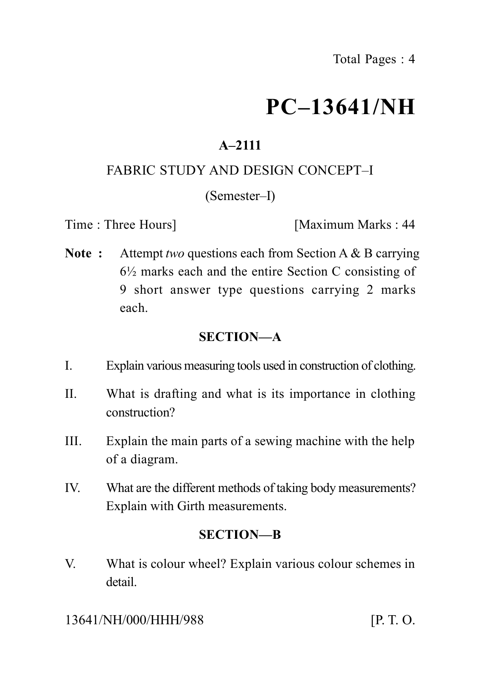# **PC–13641/NH**

## **A–2111**

## FABRIC STUDY AND DESIGN CONCEPT–I

#### (Semester–I)

Time : Three Hours **I** Maximum Marks : 44

**Note :** Attempt *two* questions each from Section A & B carrying  $6\frac{1}{2}$  marks each and the entire Section C consisting of 9 short answer type questions carrying 2 marks each.

## **SECTION—A**

- I. Explain various measuring tools used in construction of clothing.
- II. What is drafting and what is its importance in clothing construction?
- III. Explain the main parts of a sewing machine with the help of a diagram.
- IV. What are the different methods of taking body measurements? Explain with Girth measurements.

#### **SECTION—B**

V. What is colour wheel? Explain various colour schemes in detail.

13641/NH/000/HHH/988 [P. T. O.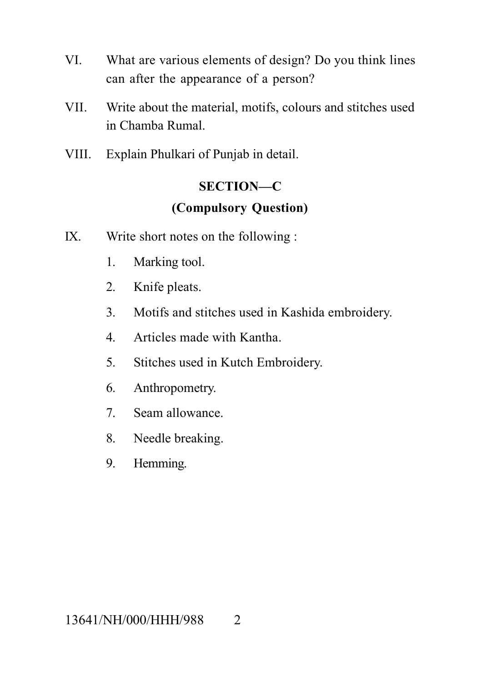- VI. What are various elements of design? Do you think lines can after the appearance of a person?
- VII. Write about the material, motifs, colours and stitches used in Chamba Rumal.
- VIII. Explain Phulkari of Punjab in detail.

### **SECTION—C**

## **(Compulsory Question)**

- IX. Write short notes on the following :
	- 1. Marking tool.
	- 2. Knife pleats.
	- 3. Motifs and stitches used in Kashida embroidery.
	- 4. Articles made with Kantha.
	- 5. Stitches used in Kutch Embroidery.
	- 6. Anthropometry.
	- 7. Seam allowance.
	- 8. Needle breaking.
	- 9. Hemming.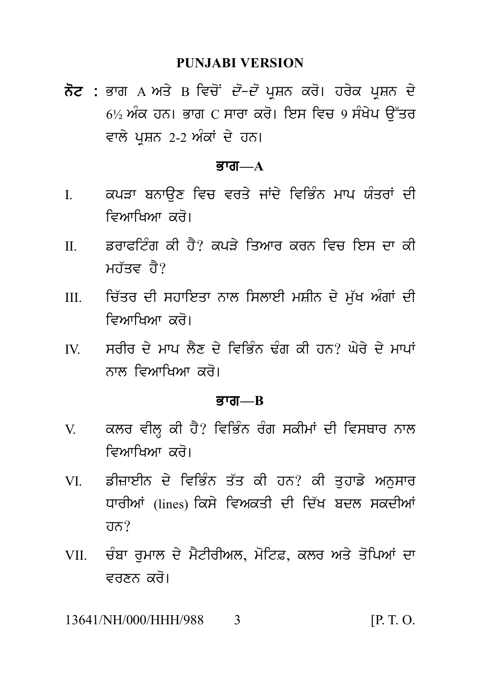#### **PUNJABI VERSION**

PUNJABI VERSION<br>ਨੋਟ : ਭਾਗ A ਅਤੇ B ਵਿਚੋਂ *ਦੋ–ਦੋ* ਪ੍ਰਸ਼ਨ ਕਰੋ। ਹਰੇਕ ਪ੍ਰਸ਼ਨ ਦੇ<br>6½ ਅੰਕ ਹਨ। ਭਾਗ C ਸਾਰਾ ਕਰੋ। ਇਸ ਵਿਚ 9 ਸੰਖੇਪ ਉੱਤਰ<br>ਵਾਲੇ ਪਸ਼ਨ 2-2 ਅੰਕਾਂ ਦੇ ਹਨ। PUNJABI VERSION<br>ਭਾਗ A ਅਤੇ B ਵਿਚੋਂ *ਦੋ–ਦੋ* ਪ੍ਰਸ਼ਨ ਕਰੋ। ਹਰੇਕ ਪ੍ਰਸ਼ਨ ਦੇ<br>6½ ਅੰਕ ਹਨ। ਭਾਗ C ਸਾਰਾ ਕਰੋ। ਇਸ ਵਿਚ 9 ਸੰਖੇਪ ਉੱਤਰ<br>ਵਾਲੇ ਪ੍ਰਸ਼ਨ 2-2 ਅੰਕਾਂ ਦੇ ਹਨ। ਨੋਟ : ਭਾਗ A ਅਤੇ B ਵਿਚੋਂ *ਦੋ–ਦੋ* ਪ੍ਰਸ਼ਨ ਕਰੋ। ਹਰੇਕ ਪ੍ਰਸ਼ਨ ਦੇ<br>6½ ਅੰਕ ਹਨ। ਭਾਗ C ਸਾਰਾ ਕਰੋ। ਇਸ ਵਿਚ 9 ਸੰਖੇਪ ਉੱਤਰ<br>ਵਾਲੇ ਪਸ਼ਨ 2-2 ਅੰਕਾਂ ਦੇ ਹਨ।

#### $\overline{B}$ जा— $A$

- ਵਾਲੇ ਪ੍ਰਸ਼ਨ 2-2 ਅੰਕਾਂ ਦੇ ਹਨ।<br>**ਭਾਗ—A**<br>I. ਕਪੜਾ ਬਨਾਉਣ ਵਿਚ ਵਰਤੇ ਜਾਂਦੇ ਵਿਭਿੰਨ ਮਾਪ ਯੰਤਰਾਂ ਦੀ<br>ਵਿਆਖਿਆ ਕਰੋ।<br>ਸ਼ਾ ਦਾ ਕਾਲ<sup>ਿੰਦ ਦੀ ਵੈ</sub>੪ ਕਾਕੇ ਕਿਪਤ ਕਾਲ ਕਿਤ ਕਿਤ ਕਾ ਕੀ</sup> ਕਪੜਾ ਬਨਾਉਣ ਵਿਚ ਵਰਤੇ ਜਾਂਦੇ ਵਿਭਿੰਨ ਮਾਪ ਯੰਤਰਾਂ ਦੀ<br>ਵਿਆਖਿਆ ਕਰੋ।<br>ਡਰਾਫਟਿੰਗ ਕੀ ਹੈ? ਕਪੜੇ ਤਿਆਰ ਕਰਨ ਵਿਚ ਇਸ ਦਾ ਕੀ<br>ਮਹੱਤਵ ਹੈ?
- I. ਕਪੜਾ ਬਨਾਉਣ ਵਿਚ ਵਰਤੇ ਜਾਂਦੇ ਵਿਭਿੰਨ ਮਾਪ ਯੰਤਰਾਂ ਦੀ<br>ਵਿਆਖਿਆ ਕਰੋ।<br>II. ਡਰਾਫਟਿੰਗ ਕੀ ਹੈ? ਕਪੜੇ ਤਿਆਰ ਕਰਨ ਵਿਚ ਇਸ ਦਾ ਕੀ<br>ਮਹੱਤਵ ਹੈ?
- m. ਚਿੱਤਰ ਦੀ ਸਹਾਇਤਾ ਨਾਲ ਸਿਲਾਈ ਮਸ਼ੀਨ ਦੇ ਮੁੱਖ ਅੰਗਾਂ ਦੀ<br>ਵਿਆਖਿਆ ਕਰੋ। II. ਡਰਾਫਟਿੰਗ ਕੀ ਹੈ? ਕਪੜੇ ਤਿਆਰ ਕਰਨ ਵਿਚ ਇਸ ਦਾ ਕੀ<br>ਸਹੱਤਵ ਹੈ?<br>III. ਚਿੱਤਰ ਦੀ ਸਹਾਇਤਾ ਨਾਲ ਸਿਲਾਈ ਮਸ਼ੀਨ ਦੇ ਮੁੱਖ ਅੰਗਾਂ ਦੀ<br>ਵਿਆਖਿਆ ਕਰੋ।<br>ਲਾ ਸਾਹਿ ਤੇ ਮਾਮ ਕੈੱਬ ਤੇ ਹਿਉਂਹ ਤੰਸ ਦੀ ਤਾਲੇ ਐਂਤੇ ਤੇ ਮਾਮਾਂ ਡਰਾਫਾਟਗ ਕੀ ਰੈਂ! ਕੰਪੜੇ ਤਿਆਰ ਕਰਨ<br>ਮਹੱਤਵ ਹੈ?<br>ਚਿੱਤਰ ਦੀ ਸਹਾਇਤਾ ਨਾਲ ਸਿਲਾਈ ਮਸ਼ੀ<br>ਵਿਆਖਿਆ ਕਰੋ।<br>ਸਰੀਰ ਦੇ ਮਾਪ ਲੈਣ ਦੇ ਵਿਭਿੰਨ ਢੰਗ ਕੀ III. ਚਿੱਤਰ ਦੀ ਸਹਾਇਤਾ ਨਾਲ ਸਿਲਾਈ ਮਸ਼ੀਨ ਦੇ ਮੁੱਖ ਅੰਗਾਂ ਦੀ<br>ਵਿਆਖਿਆ ਕਰੋ।<br>IV. ਸਰੀਰ ਦੇ ਮਾਪ ਲੈਣ ਦੇ ਵਿਭਿੰਨ ਢੰਗ ਕੀ ਹਨ? ਘੇਰੇ ਦੇ ਮਾਪਾਂ<br>ਨਾਲ ਵਿਆਖਿਆ ਕਰੋ।
- <sub>ਰਿਤਰ ਦਾ ਸਰਾਟਿਤਾ ਨਾਲ ਸਮਲਾਟਾ ਸਮਾਨ ਦ<br>ਵਿਆਖਿਆ ਕਰੋ।<br>ਸਰੀਰ ਦੇ ਮਾਪ ਲੈਣ ਦੇ ਵਿਭਿੰਨ ਢੰਗ ਕੀ ਹਨ:<br>ਨਾਲ ਵਿਆਖਿਆ ਕਰੋ।<br>ਭਾਗ—В</sub>

#### Bwg**—B**

- ਨਾਲ ਵਿਆਖਿਆ ਕਰੋ।<br>ਭਾਗ—B<br>V. ਕਲਰ ਵੀਲ੍ਹ ਕੀ ਹੈ? ਵਿਭਿੰਨ ਰੰਗ ਸਕੀਮਾਂ ਦੀ ਵਿਸਥਾਰ ਨਾਲ<br>ਵਿਆਖਿਆ ਕਰੋ।<br>V. ਵਿਦਾਸ਼ੀਤ ਦੇ ਓਤੀਤ ਤੱਤ ਕੀ ਤਾਲ ਕੀ ਤਾਲੀ ਮਾਤਲਾ
- ਕਲਰ ਵੀਲ੍ਹ ਕੀ ਹੈ? ਵਿਭਿੰਨ ਰੰਗ ਸਕੀਮਾਂ ਦੀ ਵਿਸਥਾਰ ਨਾਲ<br>ਵਿਆਖਿਆ ਕਰੋ।<br>ਡੀਜ਼ਾਈਨ ਦੇ ਵਿਭਿੰਨ ਤੱਤ ਕੀ ਹਨ? ਕੀ ਤੁਹਾਡੇ ਅਨੁਸਾਰ<br>ਧਾਰੀਆਂ (lines) ਕਿਸੇ ਵਿਅਕਤੀ ਦੀ ਦਿੱਖ ਬਦਲ ਸਕਦੀਆਂ V. ਕਲਰ ਵੀਲ੍ਹ ਕੀ ਹੈ? ਵਿਭਿੰਨ ਰੰਗ ਸਕੀਮਾਂ ਦੀ ਵਿਸਥਾਰ ਨਾਲ<br>ਵਿਆਖਿਆ ਕਰੋ।<br>VI. ਡੀਜ਼ਾਈਨ ਦੇ ਵਿਭਿੰਨ ਤੱਤ ਕੀ ਹਨ? ਕੀ ਤੁਹਾਡੇ ਅਨੁਸਾਰ<br>ਧਾਰੀਆਂ (lines) ਕਿਸੇ ਵਿਅਕਤੀ ਦੀ ਦਿੱਖ ਬਦਲ ਸਕਦੀਆਂ<br>ਹਨ? ਡੀਜ਼ਾਈਨ ਦੇ ਵਿਭਿੰਨ ਤੱਤ ਕੀ ਹਨ? ਕੀ ਤਹਾਡੇ ਅਨਸਾਰ  $\overline{d} \overline{d}$ vi. ਡਾਜ਼ਾਟਾਨ ਦ ਵਿਭਿਨ ਤਤ ਕੀ ਹਨ: ਕੀ ਤੁਹਾਡ ਅਨੁਸਾਰ<br>ਧਾਰੀਆਂ (lines) ਕਿਸੇ ਵਿਅਕਤੀ ਦੀ ਦਿੱਖ ਬਦਲ ਸਕਦੀਆਂ<br>ਹਨ?<br>VII. ਚੰਬਾ ਰੁਮਾਲ ਦੇ ਮੈਟੀਰੀਅਲ, ਮੋਟਿਫ਼, ਕਲਰ ਅਤੇ ਤੋਪਿਆਂ ਦਾ<br>ਵਰਣਨ ਕਰੋ।
- ਚੰਬਾ ਰੁਮਾਲ ਦੇ ਮੈਟੀਰੀਅਲ, ਮੋਟਿਫ਼, ਕਲਰ ਅਤੇ ਤੋਪਿਆਂ ਦਾ<br>ਵਰਣਨ ਕਰੋ।<br>NH/000/HHH/988 3